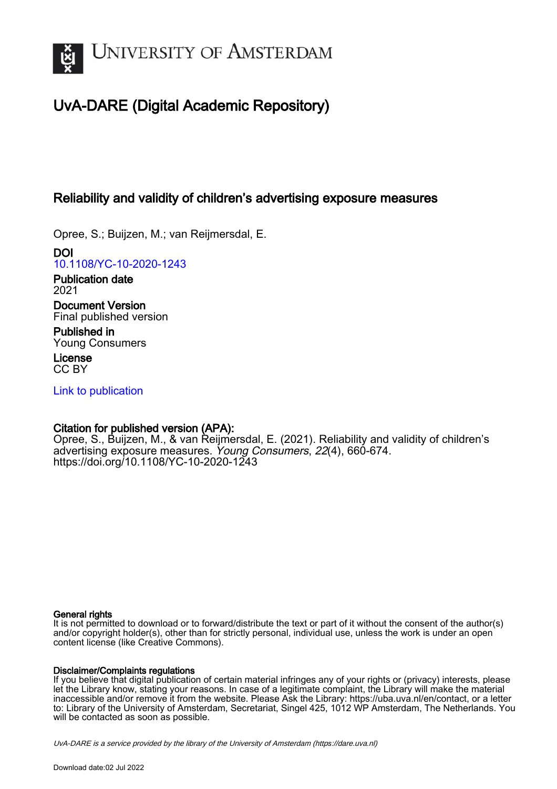

# UvA-DARE (Digital Academic Repository)

# Reliability and validity of children's advertising exposure measures

Opree, S.; Buijzen, M.; van Reijmersdal, E.

DOI [10.1108/YC-10-2020-1243](https://doi.org/10.1108/YC-10-2020-1243)

Publication date 2021

Document Version Final published version

Published in Young Consumers

License CC BY

[Link to publication](https://dare.uva.nl/personal/pure/en/publications/reliability-and-validity-of-childrens-advertising-exposure-measures(3e5339cf-fb69-473d-8ddb-0b9c23950077).html)

# Citation for published version (APA):

Opree, S., Buijzen, M., & van Reijmersdal, E. (2021). Reliability and validity of children's advertising exposure measures. Young Consumers, 22(4), 660-674. <https://doi.org/10.1108/YC-10-2020-1243>

# General rights

It is not permitted to download or to forward/distribute the text or part of it without the consent of the author(s) and/or copyright holder(s), other than for strictly personal, individual use, unless the work is under an open content license (like Creative Commons).

# Disclaimer/Complaints regulations

If you believe that digital publication of certain material infringes any of your rights or (privacy) interests, please let the Library know, stating your reasons. In case of a legitimate complaint, the Library will make the material inaccessible and/or remove it from the website. Please Ask the Library: https://uba.uva.nl/en/contact, or a letter to: Library of the University of Amsterdam, Secretariat, Singel 425, 1012 WP Amsterdam, The Netherlands. You will be contacted as soon as possible.

UvA-DARE is a service provided by the library of the University of Amsterdam (http*s*://dare.uva.nl)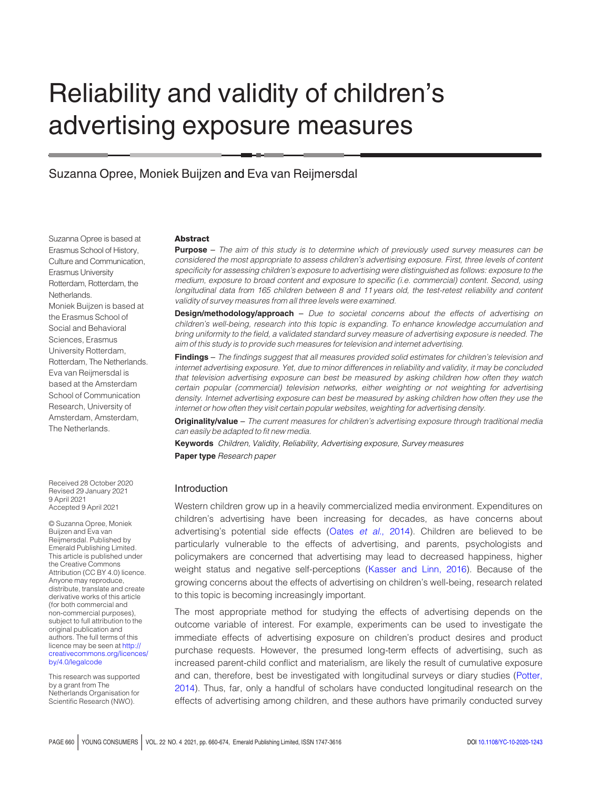# Reliability and validity of children's advertising exposure measures

Suzanna Opree, Moniek Buijzen and Eva van Reijmersdal

Suzanna Opree is based at Erasmus School of History, Culture and Communication, Erasmus University Rotterdam, Rotterdam, the Netherlands. Moniek Buijzen is based at the Erasmus School of Social and Behavioral Sciences, Erasmus University Rotterdam, Rotterdam, The Netherlands. Eva van Reijmersdal is based at the Amsterdam School of Communication Research, University of Amsterdam, Amsterdam, The Netherlands.

Received 28 October 2020 Revised 29 January 2021 9 April 2021 Accepted 9 April 2021

© Suzanna Opree, Moniek Buijzen and Eva van Reijmersdal. Published by Emerald Publishing Limited. This article is published under the Creative Commons Attribution (CC BY 4.0) licence. Anyone may reproduce, distribute, translate and create derivative works of this article (for both commercial and non-commercial purposes), subject to full attribution to the original publication and authors. The full terms of this licence may be seen at [http://](http://creativecommons.org/licences/by/4.0/legalcode) [creativecommons.org/licences/](http://creativecommons.org/licences/by/4.0/legalcode) [by/4.0/legalcode](http://creativecommons.org/licences/by/4.0/legalcode)

This research was supported by a grant from The Netherlands Organisation for Scientific Research (NWO).

#### **Abstract**

**Purpose** – The aim of this study is to determine which of previously used survey measures can be considered the most appropriate to assess children's advertising exposure. First, three levels of content specificity for assessing children's exposure to advertising were distinguished as follows: exposure to the medium, exposure to broad content and exposure to specific (i.e. commercial) content. Second, using longitudinal data from 165 children between 8 and 11 years old, the test-retest reliability and content validity of survey measures from all three levels were examined.

**Design/methodology/approach** – Due to societal concerns about the effects of advertising on children's well-being, research into this topic is expanding. To enhance knowledge accumulation and bring uniformity to the field, a validated standard survey measure of advertising exposure is needed. The aim of this study is to provide such measures for television and internet advertising.

Findings – The findings suggest that all measures provided solid estimates for children's television and internet advertising exposure. Yet, due to minor differences in reliability and validity, it may be concluded that television advertising exposure can best be measured by asking children how often they watch certain popular (commercial) television networks, either weighting or not weighting for advertising density. Internet advertising exposure can best be measured by asking children how often they use the internet or how often they visit certain popular websites, weighting for advertising density.

Originality/value – The current measures for children's advertising exposure through traditional media can easily be adapted to fit new media.

**Keywords** Children, Validity, Reliability, Advertising exposure, Survey measures Paper type Research paper

#### Introduction

Western children grow up in a heavily commercialized media environment. Expenditures on children's advertising have been increasing for decades, as have concerns about advertising's potential side effects (Oates et al.[, 2014](#page-14-0)). Children are believed to be particularly vulnerable to the effects of advertising, and parents, psychologists and policymakers are concerned that advertising may lead to decreased happiness, higher weight status and negative self-perceptions ([Kasser and Linn, 2016](#page-14-1)). Because of the growing concerns about the effects of advertising on children's well-being, research related to this topic is becoming increasingly important.

The most appropriate method for studying the effects of advertising depends on the outcome variable of interest. For example, experiments can be used to investigate the immediate effects of advertising exposure on children's product desires and product purchase requests. However, the presumed long-term effects of advertising, such as increased parent-child conflict and materialism, are likely the result of cumulative exposure and can, therefore, best be investigated with longitudinal surveys or diary studies [\(Potter,](#page-14-2) [2014\)](#page-14-2). Thus, far, only a handful of scholars have conducted longitudinal research on the effects of advertising among children, and these authors have primarily conducted survey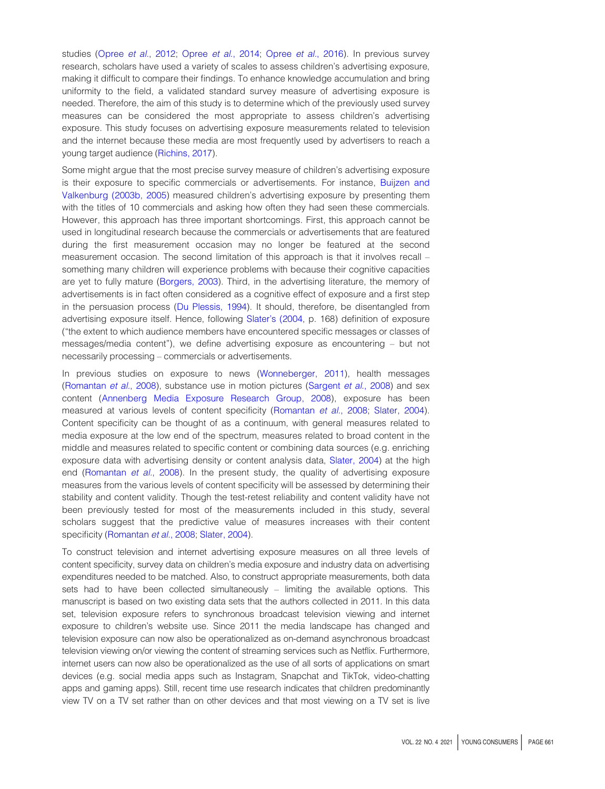studies (Opree et al.[, 2012;](#page-14-3) Opree et al.[, 2014](#page-14-4); Opree et al.[, 2016\)](#page-14-5). In previous survey research, scholars have used a variety of scales to assess children's advertising exposure, making it difficult to compare their findings. To enhance knowledge accumulation and bring uniformity to the field, a validated standard survey measure of advertising exposure is needed. Therefore, the aim of this study is to determine which of the previously used survey measures can be considered the most appropriate to assess children's advertising exposure. This study focuses on advertising exposure measurements related to television and the internet because these media are most frequently used by advertisers to reach a young target audience [\(Richins, 2017\)](#page-15-0).

Some might argue that the most precise survey measure of children's advertising exposure is their exposure to specific commercials or advertisements. For instance, [Buijzen and](#page-13-0) [Valkenburg \(2003b](#page-13-0), [2005\)](#page-13-1) measured children's advertising exposure by presenting them with the titles of 10 commercials and asking how often they had seen these commercials. However, this approach has three important shortcomings. First, this approach cannot be used in longitudinal research because the commercials or advertisements that are featured during the first measurement occasion may no longer be featured at the second measurement occasion. The second limitation of this approach is that it involves recall – something many children will experience problems with because their cognitive capacities are yet to fully mature [\(Borgers, 2003\)](#page-13-2). Third, in the advertising literature, the memory of advertisements is in fact often considered as a cognitive effect of exposure and a first step in the persuasion process [\(Du Plessis, 1994\)](#page-14-6). It should, therefore, be disentangled from advertising exposure itself. Hence, following [Slater's \(2004,](#page-15-1) p. 168) definition of exposure ("the extent to which audience members have encountered specific messages or classes of messages/media content"), we define advertising exposure as encountering – but not necessarily processing – commercials or advertisements.

In previous studies on exposure to news ([Wonneberger, 2011](#page-15-2)), health messages ([Romantan](#page-15-3) et al., 2008), substance use in motion pictures ([Sargent](#page-15-4) et al., 2008) and sex content [\(Annenberg Media Exposure Research Group, 2008\)](#page-13-3), exposure has been measured at various levels of content specificity [\(Romantan](#page-15-3) et al., 2008; [Slater, 2004\)](#page-15-1). Content specificity can be thought of as a continuum, with general measures related to media exposure at the low end of the spectrum, measures related to broad content in the middle and measures related to specific content or combining data sources (e.g. enriching exposure data with advertising density or content analysis data, [Slater, 2004\)](#page-15-1) at the high end ([Romantan](#page-15-3) *et al.*, 2008). In the present study, the quality of advertising exposure measures from the various levels of content specificity will be assessed by determining their stability and content validity. Though the test-retest reliability and content validity have not been previously tested for most of the measurements included in this study, several scholars suggest that the predictive value of measures increases with their content specificity [\(Romantan](#page-15-3) et al., 2008; [Slater, 2004\)](#page-15-1).

To construct television and internet advertising exposure measures on all three levels of content specificity, survey data on children's media exposure and industry data on advertising expenditures needed to be matched. Also, to construct appropriate measurements, both data sets had to have been collected simultaneously – limiting the available options. This manuscript is based on two existing data sets that the authors collected in 2011. In this data set, television exposure refers to synchronous broadcast television viewing and internet exposure to children's website use. Since 2011 the media landscape has changed and television exposure can now also be operationalized as on-demand asynchronous broadcast television viewing on/or viewing the content of streaming services such as Netflix. Furthermore, internet users can now also be operationalized as the use of all sorts of applications on smart devices (e.g. social media apps such as Instagram, Snapchat and TikTok, video-chatting apps and gaming apps). Still, recent time use research indicates that children predominantly view TV on a TV set rather than on other devices and that most viewing on a TV set is live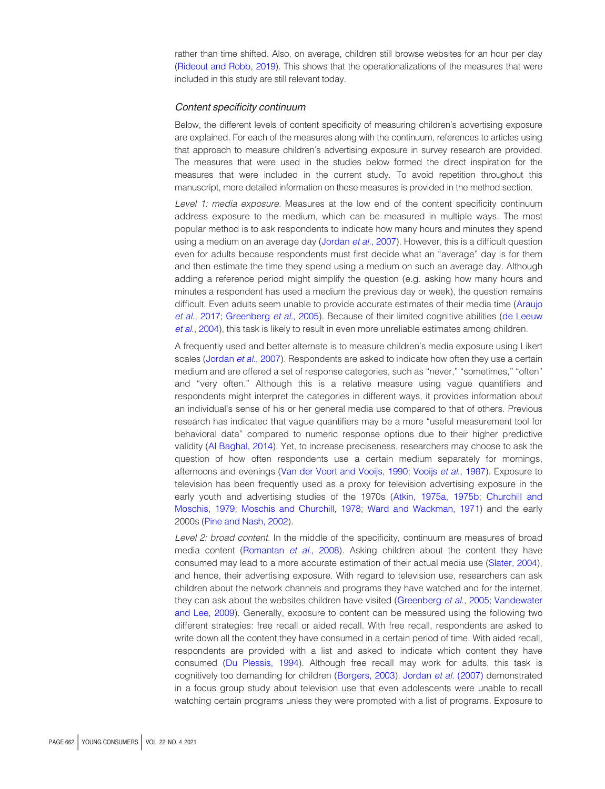rather than time shifted. Also, on average, children still browse websites for an hour per day [\(Rideout and Robb, 2019](#page-15-5)). This shows that the operationalizations of the measures that were included in this study are still relevant today.

#### Content specificity continuum

Below, the different levels of content specificity of measuring children's advertising exposure are explained. For each of the measures along with the continuum, references to articles using that approach to measure children's advertising exposure in survey research are provided. The measures that were used in the studies below formed the direct inspiration for the measures that were included in the current study. To avoid repetition throughout this manuscript, more detailed information on these measures is provided in the method section.

Level 1: media exposure. Measures at the low end of the content specificity continuum address exposure to the medium, which can be measured in multiple ways. The most popular method is to ask respondents to indicate how many hours and minutes they spend using a medium on an average day ([Jordan](#page-14-7) et al., 2007). However, this is a difficult question even for adults because respondents must first decide what an "average" day is for them and then estimate the time they spend using a medium on such an average day. Although adding a reference period might simplify the question (e.g. asking how many hours and minutes a respondent has used a medium the previous day or week), the question remains difficult. Even adults seem unable to provide accurate estimates of their media time [\(Araujo](#page-13-4) et al.[, 2017;](#page-13-4) [Greenberg](#page-14-8) et al., 2005). Because of their limited cognitive abilities [\(de Leeuw](#page-14-9) et al.[, 2004](#page-14-9)), this task is likely to result in even more unreliable estimates among children.

A frequently used and better alternate is to measure children's media exposure using Likert scales ([Jordan](#page-14-7) et al., 2007). Respondents are asked to indicate how often they use a certain medium and are offered a set of response categories, such as "never," "sometimes," "often" and "very often." Although this is a relative measure using vague quantifiers and respondents might interpret the categories in different ways, it provides information about an individual's sense of his or her general media use compared to that of others. Previous research has indicated that vague quantifiers may be a more "useful measurement tool for behavioral data" compared to numeric response options due to their higher predictive validity [\(Al Baghal, 2014](#page-13-5)). Yet, to increase preciseness, researchers may choose to ask the question of how often respondents use a certain medium separately for mornings, afternoons and evenings ([Van der Voort and Vooijs, 1990](#page-15-6); Vooijs et al.[, 1987\)](#page-15-7). Exposure to television has been frequently used as a proxy for television advertising exposure in the early youth and advertising studies of the 1970s [\(Atkin,](#page-13-6) [1975a, 1975b](#page-13-7); [Churchill and](#page-13-8) [Moschis, 1979](#page-13-8); [Moschis and Churchill, 1978](#page-14-10); [Ward and Wackman, 1971](#page-15-8)) and the early 2000s [\(Pine and Nash, 2002](#page-14-11)).

Level 2: broad content. In the middle of the specificity, continuum are measures of broad media content [\(Romantan](#page-15-3) et al., 2008). Asking children about the content they have consumed may lead to a more accurate estimation of their actual media use [\(Slater, 2004](#page-15-1)), and hence, their advertising exposure. With regard to television use, researchers can ask children about the network channels and programs they have watched and for the internet, they can ask about the websites children have visited [\(Greenberg](#page-14-8) et al., 2005; [Vandewater](#page-15-9) [and Lee, 2009\)](#page-15-9). Generally, exposure to content can be measured using the following two different strategies: free recall or aided recall. With free recall, respondents are asked to write down all the content they have consumed in a certain period of time. With aided recall, respondents are provided with a list and asked to indicate which content they have consumed [\(Du Plessis, 1994\)](#page-14-6). Although free recall may work for adults, this task is cognitively too demanding for children ([Borgers, 2003\)](#page-13-2). [Jordan](#page-14-7) et al. (2007) demonstrated in a focus group study about television use that even adolescents were unable to recall watching certain programs unless they were prompted with a list of programs. Exposure to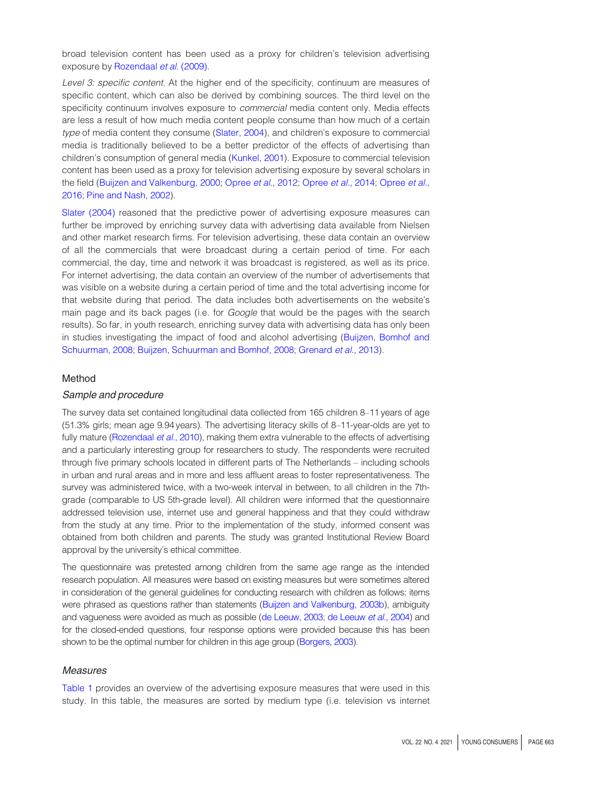broad television content has been used as a proxy for children's television advertising exposure by [Rozendaal](#page-15-10) et al. (2009).

Level 3: specific content. At the higher end of the specificity, continuum are measures of specific content, which can also be derived by combining sources. The third level on the specificity continuum involves exposure to *commercial* media content only. Media effects are less a result of how much media content people consume than how much of a certain type of media content they consume [\(Slater, 2004\)](#page-15-1), and children's exposure to commercial media is traditionally believed to be a better predictor of the effects of advertising than children's consumption of general media [\(Kunkel, 2001\)](#page-14-12). Exposure to commercial television content has been used as a proxy for television advertising exposure by several scholars in the field ([Buijzen and Valkenburg, 2000;](#page-13-9) [Opree](#page-14-5) et al., 2012; Opree et al., 2014; Opree et al., [2016;](#page-14-5) [Pine and Nash, 2002](#page-14-11)).

[Slater \(2004\)](#page-15-1) reasoned that the predictive power of advertising exposure measures can further be improved by enriching survey data with advertising data available from Nielsen and other market research firms. For television advertising, these data contain an overview of all the commercials that were broadcast during a certain period of time. For each commercial, the day, time and network it was broadcast is registered, as well as its price. For internet advertising, the data contain an overview of the number of advertisements that was visible on a website during a certain period of time and the total advertising income for that website during that period. The data includes both advertisements on the website's main page and its back pages (i.e. for *Google* that would be the pages with the search results). So far, in youth research, enriching survey data with advertising data has only been in studies investigating the impact of food and alcohol advertising [\(Buijzen, Bomhof and](#page-13-10) [Schuurman, 2008;](#page-13-10) [Buijzen, Schuurman and Bomhof, 2008](#page-13-10); [Grenard](#page-14-13) et al., 2013).

### Method

## Sample and procedure

The survey data set contained longitudinal data collected from 165 children 8–11 years of age (51.3% girls; mean age 9.94 years). The advertising literacy skills of 8–11-year-olds are yet to fully mature [\(Rozendaal](#page-15-11) et al., 2010), making them extra vulnerable to the effects of advertising and a particularly interesting group for researchers to study. The respondents were recruited through five primary schools located in different parts of The Netherlands – including schools in urban and rural areas and in more and less affluent areas to foster representativeness. The survey was administered twice, with a two-week interval in between, to all children in the 7thgrade (comparable to US 5th-grade level). All children were informed that the questionnaire addressed television use, internet use and general happiness and that they could withdraw from the study at any time. Prior to the implementation of the study, informed consent was obtained from both children and parents. The study was granted Institutional Review Board approval by the university's ethical committee.

The questionnaire was pretested among children from the same age range as the intended research population. All measures were based on existing measures but were sometimes altered in consideration of the general guidelines for conducting research with children as follows: items were phrased as questions rather than statements [\(Buijzen and Valkenburg, 2003b](#page-13-0)), ambiguity and vagueness were avoided as much as possible [\(de Leeuw, 2003;](#page-14-14) [de Leeuw](#page-14-9) et al., 2004) and for the closed-ended questions, four response options were provided because this has been shown to be the optimal number for children in this age group ([Borgers, 2003](#page-13-2)).

#### **Measures**

[Table 1](#page-5-0) provides an overview of the advertising exposure measures that were used in this study. In this table, the measures are sorted by medium type (i.e. television vs internet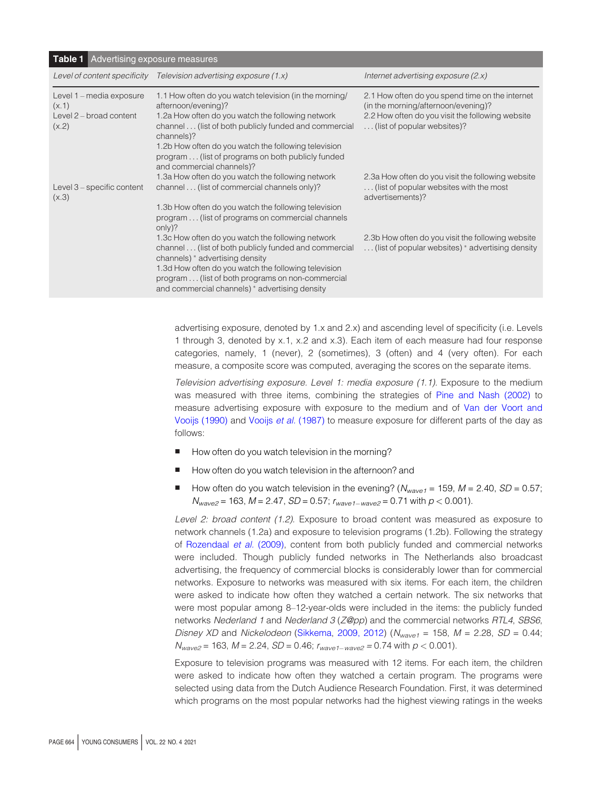<span id="page-5-0"></span>

| <b>Table 1</b> Advertising exposure measures                          |                                                                                                                                                                                                                                                                                                                                                    |                                                                                                                                                                           |  |  |  |  |  |
|-----------------------------------------------------------------------|----------------------------------------------------------------------------------------------------------------------------------------------------------------------------------------------------------------------------------------------------------------------------------------------------------------------------------------------------|---------------------------------------------------------------------------------------------------------------------------------------------------------------------------|--|--|--|--|--|
| Level of content specificity                                          | Television advertising exposure (1.x)                                                                                                                                                                                                                                                                                                              | Internet advertising exposure $(2.x)$                                                                                                                                     |  |  |  |  |  |
| Level 1 - media exposure<br>(x.1)<br>Level 2 - broad content<br>(x.2) | 1.1 How often do you watch television (in the morning/<br>afternoon/evening)?<br>1.2a How often do you watch the following network<br>channel (list of both publicly funded and commercial<br>channels)?<br>1.2b How often do you watch the following television<br>program (list of programs on both publicly funded<br>and commercial channels)? | 2.1 How often do you spend time on the internet<br>(in the morning/afternoon/evening)?<br>2.2 How often do you visit the following website<br>(list of popular websites)? |  |  |  |  |  |
| Level 3 – specific content<br>(x.3)                                   | 1.3a How often do you watch the following network<br>channel (list of commercial channels only)?<br>1.3b How often do you watch the following television<br>program (list of programs on commercial channels<br>only)?                                                                                                                             | 2.3a How often do you visit the following website<br>(list of popular websites with the most<br>advertisements)?                                                          |  |  |  |  |  |
|                                                                       | 1.3c How often do you watch the following network<br>channel  (list of both publicly funded and commercial<br>channels) * advertising density<br>1.3d How often do you watch the following television<br>program (list of both programs on non-commercial<br>and commercial channels) * advertising density                                        | 2.3b How often do you visit the following website<br>(list of popular websites) * advertising density                                                                     |  |  |  |  |  |
|                                                                       |                                                                                                                                                                                                                                                                                                                                                    |                                                                                                                                                                           |  |  |  |  |  |

advertising exposure, denoted by 1.x and 2.x) and ascending level of specificity (i.e. Levels 1 through 3, denoted by x.1, x.2 and x.3). Each item of each measure had four response categories, namely, 1 (never), 2 (sometimes), 3 (often) and 4 (very often). For each measure, a composite score was computed, averaging the scores on the separate items.

Television advertising exposure. Level 1: media exposure (1.1). Exposure to the medium was measured with three items, combining the strategies of [Pine and Nash \(2002\)](#page-14-11) to measure advertising exposure with exposure to the medium and of [Van der Voort and](#page-15-6) [Vooijs \(1990\)](#page-15-6) and Vooijs et al. [\(1987\)](#page-15-7) to measure exposure for different parts of the day as follows:

- How often do you watch television in the morning?
- How often do you watch television in the afternoon? and
- How often do you watch television in the evening? ( $N_{wave1} = 159$ ,  $M = 2.40$ ,  $SD = 0.57$ ;  $N_{wave2}$  = 163,  $M$  = 2.47, *SD* = 0.57;  $r_{wave1-wave2}$  = 0.71 with  $p$  < 0.001).

Level 2: broad content (1.2). Exposure to broad content was measured as exposure to network channels (1.2a) and exposure to television programs (1.2b). Following the strategy of [Rozendaal](#page-15-10) et al. (2009), content from both publicly funded and commercial networks were included. Though publicly funded networks in The Netherlands also broadcast advertising, the frequency of commercial blocks is considerably lower than for commercial networks. Exposure to networks was measured with six items. For each item, the children were asked to indicate how often they watched a certain network. The six networks that were most popular among 8–12-year-olds were included in the items: the publicly funded networks Nederland 1 and Nederland 3 (Z@pp) and the commercial networks RTL4, SBS6, Disney XD and Nickelodeon ([Sikkema](#page-15-12), [2009, 2012\)](#page-15-13)  $(N_{wave1} = 158, M = 2.28, SD = 0.44;$  $N_{wave2}$  = 163,  $M$  = 2.24,  $SD$  = 0.46;  $r_{wave1-wave2}$  = 0.74 with  $p$  < 0.001).

Exposure to television programs was measured with 12 items. For each item, the children were asked to indicate how often they watched a certain program. The programs were selected using data from the Dutch Audience Research Foundation. First, it was determined which programs on the most popular networks had the highest viewing ratings in the weeks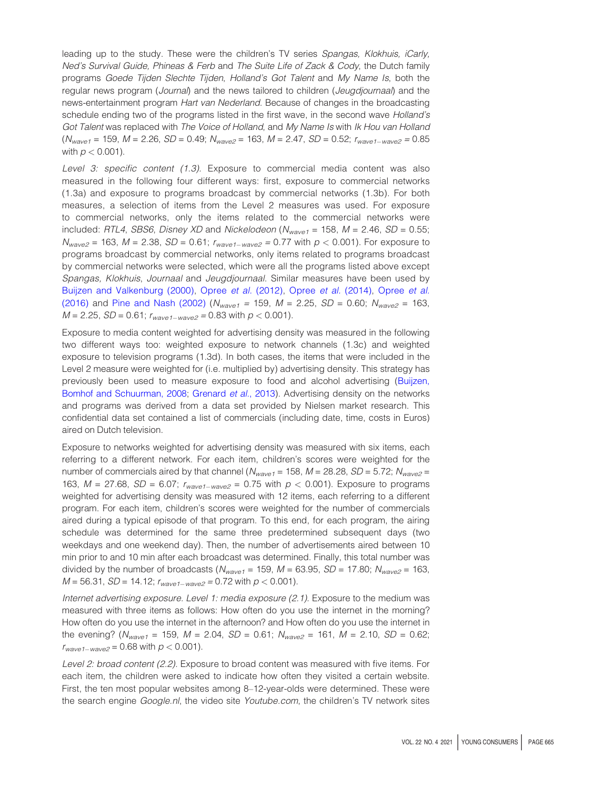leading up to the study. These were the children's TV series Spangas, Klokhuis, iCarly, Ned's Survival Guide, Phineas & Ferb and The Suite Life of Zack & Cody, the Dutch family programs Goede Tijden Slechte Tijden, Holland's Got Talent and My Name Is, both the regular news program (Journal) and the news tailored to children (Jeugdjournaal) and the news-entertainment program Hart van Nederland. Because of changes in the broadcasting schedule ending two of the programs listed in the first wave, in the second wave Holland's Got Talent was replaced with The Voice of Holland, and My Name Is with Ik Hou van Holland ( $N_{wave1}$  = 159, M = 2.26, *SD* = 0.49;  $N_{wave2}$  = 163, M = 2.47, *SD* = 0.52;  $r_{wave1-wave2}$  = 0.85 with  $p < 0.001$ ).

Level 3: specific content (1.3). Exposure to commercial media content was also measured in the following four different ways: first, exposure to commercial networks (1.3a) and exposure to programs broadcast by commercial networks (1.3b). For both measures, a selection of items from the Level 2 measures was used. For exposure to commercial networks, only the items related to the commercial networks were included: RTL4, SBS6, Disney XD and Nickelodeon ( $N_{wave1}$  = 158, M = 2.46, SD = 0.55;  $N_{wave2}$  = 163, M = 2.38, SD = 0.61;  $r_{wave1-wave2}$  = 0.77 with  $p < 0.001$ ). For exposure to programs broadcast by commercial networks, only items related to programs broadcast by commercial networks were selected, which were all the programs listed above except Spangas, Klokhuis, Journaal and Jeugdjournaal. Similar measures have been used by [Buijzen and Valkenburg \(2000\),](#page-13-9) Opree et al. [\(2012\)](#page-14-3), Opree et al. [\(2014\),](#page-14-4) [Opree](#page-14-5) et al. [\(2016\)](#page-14-5) and [Pine and Nash \(2002\)](#page-14-11) ( $N_{wave1}$  = 159, M = 2.25, SD = 0.60;  $N_{wave2}$  = 163,  $M = 2.25$ ,  $SD = 0.61$ ;  $r_{wave1-wave2} = 0.83$  with  $p < 0.001$ ).

Exposure to media content weighted for advertising density was measured in the following two different ways too: weighted exposure to network channels (1.3c) and weighted exposure to television programs (1.3d). In both cases, the items that were included in the Level 2 measure were weighted for (i.e. multiplied by) advertising density. This strategy has previously been used to measure exposure to food and alcohol advertising [\(Buijzen,](#page-13-10) [Bomhof and Schuurman, 2008;](#page-13-10) [Grenard](#page-14-13) et al., 2013). Advertising density on the networks and programs was derived from a data set provided by Nielsen market research. This confidential data set contained a list of commercials (including date, time, costs in Euros) aired on Dutch television.

Exposure to networks weighted for advertising density was measured with six items, each referring to a different network. For each item, children's scores were weighted for the number of commercials aired by that channel ( $N_{wave1} = 158$ ,  $M = 28.28$ ,  $SD = 5.72$ ;  $N_{wave2} =$ 163,  $M = 27.68$ ,  $SD = 6.07$ ;  $r_{wave1-wave2} = 0.75$  with  $p < 0.001$ ). Exposure to programs weighted for advertising density was measured with 12 items, each referring to a different program. For each item, children's scores were weighted for the number of commercials aired during a typical episode of that program. To this end, for each program, the airing schedule was determined for the same three predetermined subsequent days (two weekdays and one weekend day). Then, the number of advertisements aired between 10 min prior to and 10 min after each broadcast was determined. Finally, this total number was divided by the number of broadcasts ( $N_{wave1} = 159$ ,  $M = 63.95$ ,  $SD = 17.80$ ;  $N_{wave2} = 163$ ,  $M = 56.31, SD = 14.12; r_{wave1-wave2} = 0.72$  with  $p < 0.001$ ).

Internet advertising exposure. Level 1: media exposure (2.1). Exposure to the medium was measured with three items as follows: How often do you use the internet in the morning? How often do you use the internet in the afternoon? and How often do you use the internet in the evening? ( $N_{wave1}$  = 159,  $M = 2.04$ ,  $SD = 0.61$ ;  $N_{wave2}$  = 161,  $M = 2.10$ ,  $SD = 0.62$ ;  $r_{wave1-wave2} = 0.68$  with  $p < 0.001$ ).

Level 2: broad content (2.2). Exposure to broad content was measured with five items. For each item, the children were asked to indicate how often they visited a certain website. First, the ten most popular websites among 8–12-year-olds were determined. These were the search engine Google.nl, the video site Youtube.com, the children's TV network sites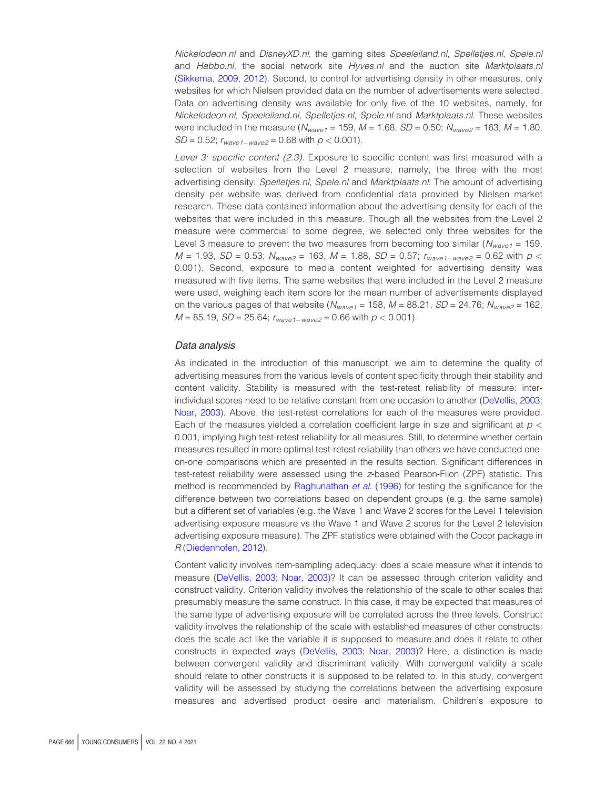Nickelodeon.nl and DisneyXD.nl, the gaming sites Speeleiland.nl, Spelletjes.nl, Spele.nl and Habbo.nl, the social network site Hyves.nl and the auction site Marktplaats.nl [\(Sikkema,](#page-15-12) [2009, 2012\)](#page-15-13). Second, to control for advertising density in other measures, only websites for which Nielsen provided data on the number of advertisements were selected. Data on advertising density was available for only five of the 10 websites, namely, for Nickelodeon.nl, Speeleiland.nl, Spelletjes.nl, Spele.nl and Marktplaats.nl. These websites were included in the measure  $(N_{wave1} = 159, M = 1.68, SD = 0.50; N_{wave2} = 163, M = 1.80,$  $SD = 0.52$ ;  $r_{wave1-wave2} = 0.68$  with  $p < 0.001$ ).

Level 3: specific content (2.3). Exposure to specific content was first measured with a selection of websites from the Level 2 measure, namely, the three with the most advertising density: Spelletjes.nl, Spele.nl and Marktplaats.nl. The amount of advertising density per website was derived from confidential data provided by Nielsen market research. These data contained information about the advertising density for each of the websites that were included in this measure. Though all the websites from the Level 2 measure were commercial to some degree, we selected only three websites for the Level 3 measure to prevent the two measures from becoming too similar ( $N_{wave1}$  = 159,  $M = 1.93$ ,  $SD = 0.53$ ;  $N_{wave2} = 163$ ,  $M = 1.88$ ,  $SD = 0.57$ ;  $r_{wave1-wave2} = 0.62$  with  $p <$ 0.001). Second, exposure to media content weighted for advertising density was measured with five items. The same websites that were included in the Level 2 measure were used, weighing each item score for the mean number of advertisements displayed on the various pages of that website ( $N_{wave1} = 158$ ,  $M = 88.21$ ,  $SD = 24.76$ ;  $N_{wave2} = 162$ ,  $M = 85.19$ ,  $SD = 25.64$ ;  $r_{wave1-wave2} = 0.66$  with  $p < 0.001$ ).

#### Data analysis

As indicated in the introduction of this manuscript, we aim to determine the quality of advertising measures from the various levels of content specificity through their stability and content validity. Stability is measured with the test-retest reliability of measure: interindividual scores need to be relative constant from one occasion to another [\(DeVellis, 2003](#page-14-15); [Noar, 2003\)](#page-14-16). Above, the test-retest correlations for each of the measures were provided. Each of the measures yielded a correlation coefficient large in size and significant at  $p <$ 0.001, implying high test-retest reliability for all measures. Still, to determine whether certain measures resulted in more optimal test-retest reliability than others we have conducted oneon-one comparisons which are presented in the results section. Significant differences in test-retest reliability were assessed using the z-based Pearson-Filon (ZPF) statistic. This method is recommended by [Raghunathan](#page-14-17) et al. (1996) for testing the significance for the difference between two correlations based on dependent groups (e.g. the same sample) but a different set of variables (e.g. the Wave 1 and Wave 2 scores for the Level 1 television advertising exposure measure vs the Wave 1 and Wave 2 scores for the Level 2 television advertising exposure measure). The ZPF statistics were obtained with the Cocor package in R [\(Diedenhofen, 2012](#page-14-18)).

Content validity involves item-sampling adequacy: does a scale measure what it intends to measure [\(DeVellis, 2003](#page-14-15); [Noar, 2003\)](#page-14-16)? It can be assessed through criterion validity and construct validity. Criterion validity involves the relationship of the scale to other scales that presumably measure the same construct. In this case, it may be expected that measures of the same type of advertising exposure will be correlated across the three levels. Construct validity involves the relationship of the scale with established measures of other constructs: does the scale act like the variable it is supposed to measure and does it relate to other constructs in expected ways [\(DeVellis, 2003;](#page-14-15) [Noar, 2003\)](#page-14-16)? Here, a distinction is made between convergent validity and discriminant validity. With convergent validity a scale should relate to other constructs it is supposed to be related to. In this study, convergent validity will be assessed by studying the correlations between the advertising exposure measures and advertised product desire and materialism. Children's exposure to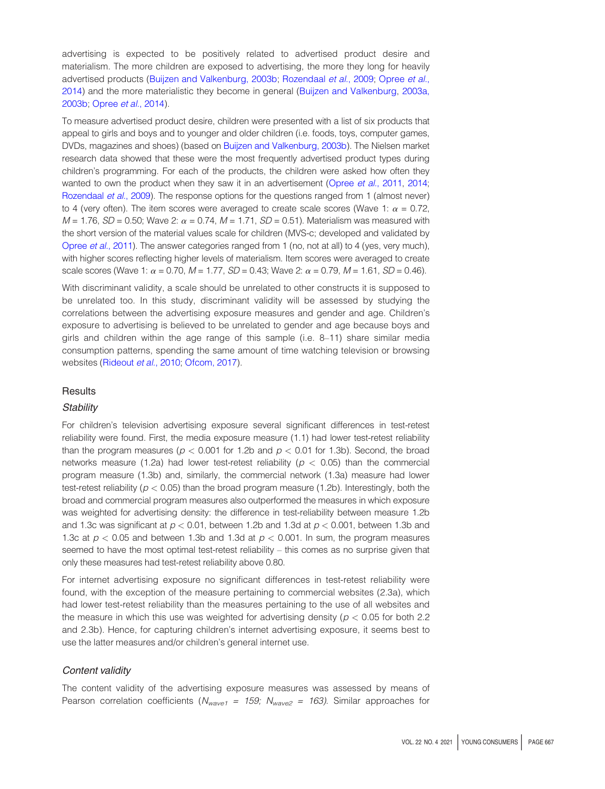advertising is expected to be positively related to advertised product desire and materialism. The more children are exposed to advertising, the more they long for heavily advertised products [\(Buijzen and Valkenburg, 2003b;](#page-13-0) [Rozendaal](#page-15-10) et al., 2009; [Opree](#page-14-4) et al., [2014\)](#page-14-4) and the more materialistic they become in general ([Buijzen and Valkenburg](#page-13-11), [2003a,](#page-13-0) [2003b](#page-13-0); [Opree](#page-14-4) et al., 2014).

To measure advertised product desire, children were presented with a list of six products that appeal to girls and boys and to younger and older children (i.e. foods, toys, computer games, DVDs, magazines and shoes) (based on [Buijzen and Valkenburg, 2003b](#page-13-0)). The Nielsen market research data showed that these were the most frequently advertised product types during children's programming. For each of the products, the children were asked how often they wanted to own the product when they saw it in an advertisement (Opree et al.[, 2011,](#page-14-19) [2014](#page-14-4); [Rozendaal](#page-15-10) et al., 2009). The response options for the questions ranged from 1 (almost never) to 4 (very often). The item scores were averaged to create scale scores (Wave 1:  $\alpha = 0.72$ ,  $M = 1.76$ ,  $SD = 0.50$ ; Wave 2:  $\alpha = 0.74$ ,  $M = 1.71$ ,  $SD = 0.51$ ). Materialism was measured with the short version of the material values scale for children (MVS-c; developed and validated by [Opree](#page-14-19) et al., 2011). The answer categories ranged from 1 (no, not at all) to 4 (yes, very much), with higher scores reflecting higher levels of materialism. Item scores were averaged to create scale scores (Wave 1:  $\alpha$  = 0.70, M = 1.77, SD = 0.43; Wave 2:  $\alpha$  = 0.79, M = 1.61, SD = 0.46).

With discriminant validity, a scale should be unrelated to other constructs it is supposed to be unrelated too. In this study, discriminant validity will be assessed by studying the correlations between the advertising exposure measures and gender and age. Children's exposure to advertising is believed to be unrelated to gender and age because boys and girls and children within the age range of this sample (i.e. 8–11) share similar media consumption patterns, spending the same amount of time watching television or browsing websites [\(Rideout](#page-15-14) et al., 2010; [Ofcom, 2017](#page-14-20)).

#### **Results**

#### **Stability**

For children's television advertising exposure several significant differences in test-retest reliability were found. First, the media exposure measure (1.1) had lower test-retest reliability than the program measures ( $p < 0.001$  for 1.2b and  $p < 0.01$  for 1.3b). Second, the broad networks measure (1.2a) had lower test-retest reliability ( $p < 0.05$ ) than the commercial program measure (1.3b) and, similarly, the commercial network (1.3a) measure had lower test-retest reliability ( $p < 0.05$ ) than the broad program measure (1.2b). Interestingly, both the broad and commercial program measures also outperformed the measures in which exposure was weighted for advertising density: the difference in test-reliability between measure 1.2b and 1.3c was significant at  $p < 0.01$ , between 1.2b and 1.3d at  $p < 0.001$ , between 1.3b and 1.3c at  $p < 0.05$  and between 1.3b and 1.3d at  $p < 0.001$ . In sum, the program measures seemed to have the most optimal test-retest reliability – this comes as no surprise given that only these measures had test-retest reliability above 0.80.

For internet advertising exposure no significant differences in test-retest reliability were found, with the exception of the measure pertaining to commercial websites (2.3a), which had lower test-retest reliability than the measures pertaining to the use of all websites and the measure in which this use was weighted for advertising density ( $p < 0.05$  for both 2.2 and 2.3b). Hence, for capturing children's internet advertising exposure, it seems best to use the latter measures and/or children's general internet use.

### Content validity

The content validity of the advertising exposure measures was assessed by means of Pearson correlation coefficients ( $N_{wave1}$  = 159;  $N_{wave2}$  = 163). Similar approaches for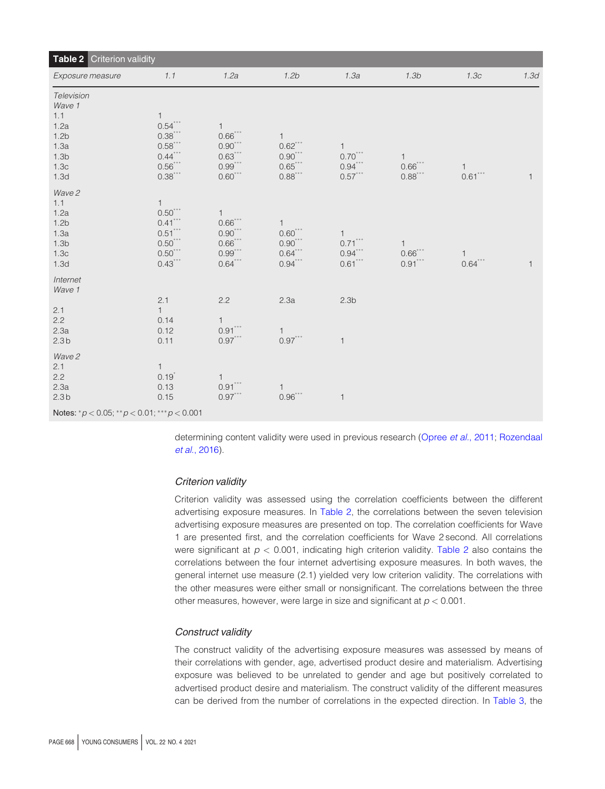<span id="page-9-0"></span>

| <b>Table 2</b> Criterion validity                                                                         |                                                                                            |                                                                              |                                                                   |                                          |                                         |                           |              |  |
|-----------------------------------------------------------------------------------------------------------|--------------------------------------------------------------------------------------------|------------------------------------------------------------------------------|-------------------------------------------------------------------|------------------------------------------|-----------------------------------------|---------------------------|--------------|--|
| Exposure measure                                                                                          | 1.1                                                                                        | 1.2a                                                                         | 1.2 <sub>b</sub>                                                  | 1.3a                                     | 1.3 <sub>b</sub>                        | 1.3c                      | 1.3d         |  |
| Television<br>Wave 1<br>1.1<br>1.2a<br>1.2 <sub>b</sub><br>1.3a<br>1.3 <sub>b</sub><br>1.3c<br>1.3d       | $\mathbf{1}$<br>$0.54***$<br>$0.38***$<br>$0.58***$<br>$0.44***$<br>$0.56***$<br>$0.38***$ | 1<br>$0.66***$<br>$0.90^\mathrm{***}$<br>$0.63***$<br>$0.99***$<br>$0.60***$ | 1<br>$0.62$ ***<br>$0.90***$<br>$0.65***$<br>$0.88$ ***           | 1<br>$0.70***$<br>$0.94***$<br>$0.57***$ | $\mathbf{1}$<br>$0.66***$<br>$0.88***$  | $\mathbf{1}$<br>$0.61***$ | $\mathbf{1}$ |  |
| Wave 2<br>1.1<br>1.2a<br>1.2 <sub>b</sub><br>1.3a<br>1.3 <sub>b</sub><br>1.3 <sub>c</sub><br>1.3d         | $\mathbf{1}$<br>$0.50***$<br>$0.41***$<br>$0.51***$<br>$0.50***$<br>$0.50***$<br>$0.43***$ | 1<br>$0.66***$<br>$0.90***$<br>$0.66***$<br>$0.99***$<br>$0.64***$           | 1<br>$0.60***$<br>$0.90^{\ast\ast\ast}$<br>$0.64***$<br>$0.94***$ | 1<br>$0.71***$<br>$0.94***$<br>$0.61***$ | $\mathbf{1}$<br>$0.66$ ***<br>$0.91***$ | $\mathbf{1}$<br>$0.64***$ | $\mathbf{1}$ |  |
| Internet<br>Wave 1<br>2.1                                                                                 | 2.1<br>1                                                                                   | 2.2                                                                          | 2.3a                                                              | 2.3 <sub>b</sub>                         |                                         |                           |              |  |
| 2.2<br>2.3a<br>2.3 <sub>b</sub>                                                                           | 0.14<br>0.12<br>0.11                                                                       | 1<br>$0.91***$<br>$0.97***$                                                  | $\mathbf{1}$<br>$0.97***$                                         | $\mathbf{1}$                             |                                         |                           |              |  |
| Wave 2<br>2.1<br>2.2<br>2.3a<br>2.3 <sub>b</sub><br>Notes: * $p < 0.05$ ; ** $p < 0.01$ ; *** $p < 0.001$ | $\mathbf{1}$<br>$0.19^{*}$<br>0.13<br>0.15                                                 | $\mathbf{1}$<br>$0.91***$<br>$0.97***$                                       | $\mathbf{1}$<br>$0.96***$                                         | $\mathbf{1}$                             |                                         |                           |              |  |

determining content validity were used in previous research ([Opree](#page-14-19) et al., 2011; [Rozendaal](#page-15-15) et al.[, 2016](#page-15-15)).

## Criterion validity

Criterion validity was assessed using the correlation coefficients between the different advertising exposure measures. In [Table 2,](#page-9-0) the correlations between the seven television advertising exposure measures are presented on top. The correlation coefficients for Wave 1 are presented first, and the correlation coefficients for Wave 2 second. All correlations were significant at  $p < 0.001$ , indicating high criterion validity. [Table 2](#page-9-0) also contains the correlations between the four internet advertising exposure measures. In both waves, the general internet use measure (2.1) yielded very low criterion validity. The correlations with the other measures were either small or nonsignificant. The correlations between the three other measures, however, were large in size and significant at  $p < 0.001$ .

### Construct validity

The construct validity of the advertising exposure measures was assessed by means of their correlations with gender, age, advertised product desire and materialism. Advertising exposure was believed to be unrelated to gender and age but positively correlated to advertised product desire and materialism. The construct validity of the different measures can be derived from the number of correlations in the expected direction. In [Table 3,](#page-10-0) the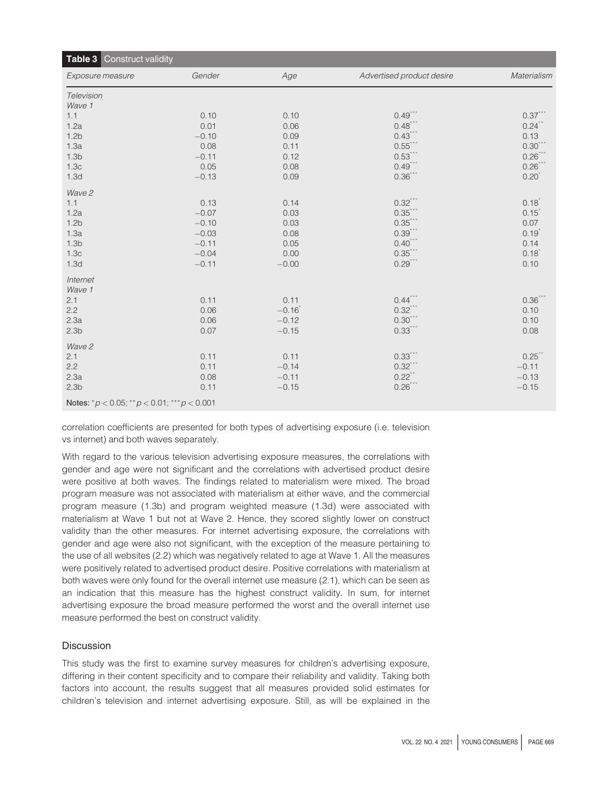<span id="page-10-0"></span>

| Table 3 Construct validity                            |         |         |                           |             |  |  |
|-------------------------------------------------------|---------|---------|---------------------------|-------------|--|--|
| Exposure measure                                      | Gender  | Age     | Advertised product desire | Materialism |  |  |
| Television                                            |         |         |                           |             |  |  |
| Wave 1                                                |         |         |                           |             |  |  |
| 1.1                                                   | 0.10    | 0.10    | $0.49***$                 | $0.37***$   |  |  |
| 1.2a                                                  | 0.01    | 0.06    | $0.48$ ***                | 0.24        |  |  |
| 1.2 <sub>b</sub>                                      | $-0.10$ | 0.09    | $0.43***$                 | 0.13        |  |  |
| 1.3a                                                  | 0.08    | 0.11    | $0.55***$                 | $0.30^{**}$ |  |  |
| 1.3 <sub>b</sub>                                      | $-0.11$ | 0.12    | $0.53***$                 | $0.26$ **   |  |  |
| 1.3c                                                  | 0.05    | 0.08    | $0.49***$                 | $0.26$ **   |  |  |
| 1.3d                                                  | $-0.13$ | 0.09    | $0.36***$                 | $0.20^{*}$  |  |  |
| Wave 2                                                |         |         |                           |             |  |  |
| 1.1                                                   | 0.13    | 0.14    | $0.32***$                 | $0.18^{*}$  |  |  |
| 1.2a                                                  | $-0.07$ | 0.03    | $0.35$ **                 | $0.15^*$    |  |  |
| 1.2 <sub>b</sub>                                      | $-0.10$ | 0.03    | $0.35***$                 | 0.07        |  |  |
| 1.3a                                                  | $-0.03$ | 0.08    | $0.39***$                 | $0.19^{*}$  |  |  |
| 1.3 <sub>b</sub>                                      | $-0.11$ | 0.05    | $0.40***$                 | 0.14        |  |  |
| 1.3 <sub>c</sub>                                      | $-0.04$ | 0.00    | $0.35***$                 | $0.18^{*}$  |  |  |
| 1.3d                                                  | $-0.11$ | $-0.00$ | $0.29***$                 | 0.10        |  |  |
| Internet                                              |         |         |                           |             |  |  |
| Wave 1                                                |         |         |                           |             |  |  |
| 2.1                                                   | 0.11    | 0.11    | $0.44***$                 | $0.36^{*}$  |  |  |
| 2.2                                                   | 0.06    | $-0.16$ | $0.32***$                 | 0.10        |  |  |
| 2.3a                                                  | 0.06    | $-0.12$ | $0.30***$                 | 0.10        |  |  |
| 2.3 <sub>b</sub>                                      | 0.07    | $-0.15$ | $0.33***$                 | 0.08        |  |  |
| Wave 2                                                |         |         |                           |             |  |  |
| 2.1                                                   | 0.11    | 0.11    | $0.33***$                 | 0.25        |  |  |
| 2.2                                                   | 0.11    | $-0.14$ | $0.32***$                 | $-0.11$     |  |  |
| 2.3a                                                  | 0.08    | $-0.11$ | $0.22$ **                 | $-0.13$     |  |  |
| 2.3 <sub>b</sub>                                      | 0.11    | $-0.15$ | $0.26***$                 | $-0.15$     |  |  |
| Notes: * $p < 0.05$ ; ** $p < 0.01$ ; *** $p < 0.001$ |         |         |                           |             |  |  |

correlation coefficients are presented for both types of advertising exposure (i.e. television vs internet) and both waves separately.

With regard to the various television advertising exposure measures, the correlations with gender and age were not significant and the correlations with advertised product desire were positive at both waves. The findings related to materialism were mixed. The broad program measure was not associated with materialism at either wave, and the commercial program measure (1.3b) and program weighted measure (1.3d) were associated with materialism at Wave 1 but not at Wave 2. Hence, they scored slightly lower on construct validity than the other measures. For internet advertising exposure, the correlations with gender and age were also not significant, with the exception of the measure pertaining to the use of all websites (2.2) which was negatively related to age at Wave 1. All the measures were positively related to advertised product desire. Positive correlations with materialism at both waves were only found for the overall internet use measure (2.1), which can be seen as an indication that this measure has the highest construct validity. In sum, for internet advertising exposure the broad measure performed the worst and the overall internet use measure performed the best on construct validity.

# **Discussion**

This study was the first to examine survey measures for children's advertising exposure, differing in their content specificity and to compare their reliability and validity. Taking both factors into account, the results suggest that all measures provided solid estimates for children's television and internet advertising exposure. Still, as will be explained in the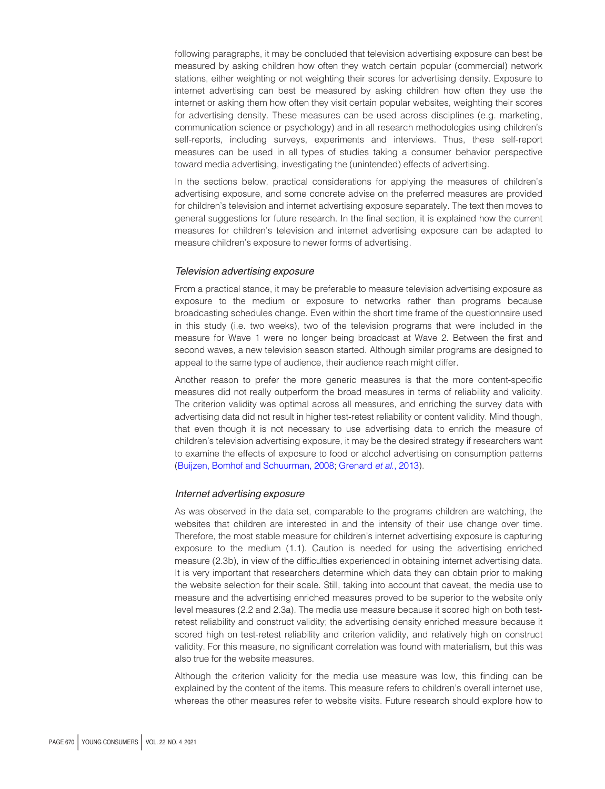following paragraphs, it may be concluded that television advertising exposure can best be measured by asking children how often they watch certain popular (commercial) network stations, either weighting or not weighting their scores for advertising density. Exposure to internet advertising can best be measured by asking children how often they use the internet or asking them how often they visit certain popular websites, weighting their scores for advertising density. These measures can be used across disciplines (e.g. marketing, communication science or psychology) and in all research methodologies using children's self-reports, including surveys, experiments and interviews. Thus, these self-report measures can be used in all types of studies taking a consumer behavior perspective toward media advertising, investigating the (unintended) effects of advertising.

In the sections below, practical considerations for applying the measures of children's advertising exposure, and some concrete advise on the preferred measures are provided for children's television and internet advertising exposure separately. The text then moves to general suggestions for future research. In the final section, it is explained how the current measures for children's television and internet advertising exposure can be adapted to measure children's exposure to newer forms of advertising.

### Television advertising exposure

From a practical stance, it may be preferable to measure television advertising exposure as exposure to the medium or exposure to networks rather than programs because broadcasting schedules change. Even within the short time frame of the questionnaire used in this study (i.e. two weeks), two of the television programs that were included in the measure for Wave 1 were no longer being broadcast at Wave 2. Between the first and second waves, a new television season started. Although similar programs are designed to appeal to the same type of audience, their audience reach might differ.

Another reason to prefer the more generic measures is that the more content-specific measures did not really outperform the broad measures in terms of reliability and validity. The criterion validity was optimal across all measures, and enriching the survey data with advertising data did not result in higher test-retest reliability or content validity. Mind though, that even though it is not necessary to use advertising data to enrich the measure of children's television advertising exposure, it may be the desired strategy if researchers want to examine the effects of exposure to food or alcohol advertising on consumption patterns [\(Buijzen, Bomhof and Schuurman, 2008;](#page-13-10) [Grenard](#page-14-13) et al., 2013).

### Internet advertising exposure

As was observed in the data set, comparable to the programs children are watching, the websites that children are interested in and the intensity of their use change over time. Therefore, the most stable measure for children's internet advertising exposure is capturing exposure to the medium (1.1). Caution is needed for using the advertising enriched measure (2.3b), in view of the difficulties experienced in obtaining internet advertising data. It is very important that researchers determine which data they can obtain prior to making the website selection for their scale. Still, taking into account that caveat, the media use to measure and the advertising enriched measures proved to be superior to the website only level measures (2.2 and 2.3a). The media use measure because it scored high on both testretest reliability and construct validity; the advertising density enriched measure because it scored high on test-retest reliability and criterion validity, and relatively high on construct validity. For this measure, no significant correlation was found with materialism, but this was also true for the website measures.

Although the criterion validity for the media use measure was low, this finding can be explained by the content of the items. This measure refers to children's overall internet use, whereas the other measures refer to website visits. Future research should explore how to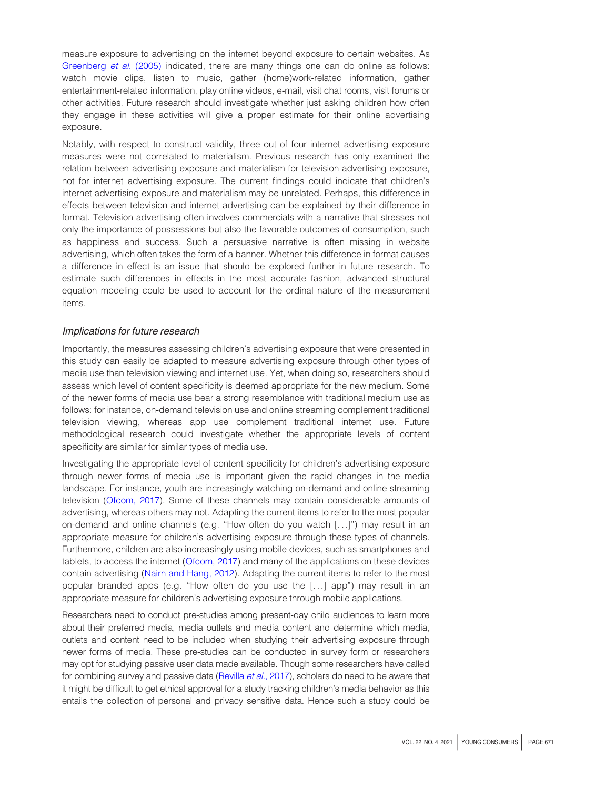measure exposure to advertising on the internet beyond exposure to certain websites. As [Greenberg](#page-14-8) et al. (2005) indicated, there are many things one can do online as follows: watch movie clips, listen to music, gather (home)work-related information, gather entertainment-related information, play online videos, e-mail, visit chat rooms, visit forums or other activities. Future research should investigate whether just asking children how often they engage in these activities will give a proper estimate for their online advertising exposure.

Notably, with respect to construct validity, three out of four internet advertising exposure measures were not correlated to materialism. Previous research has only examined the relation between advertising exposure and materialism for television advertising exposure, not for internet advertising exposure. The current findings could indicate that children's internet advertising exposure and materialism may be unrelated. Perhaps, this difference in effects between television and internet advertising can be explained by their difference in format. Television advertising often involves commercials with a narrative that stresses not only the importance of possessions but also the favorable outcomes of consumption, such as happiness and success. Such a persuasive narrative is often missing in website advertising, which often takes the form of a banner. Whether this difference in format causes a difference in effect is an issue that should be explored further in future research. To estimate such differences in effects in the most accurate fashion, advanced structural equation modeling could be used to account for the ordinal nature of the measurement items.

#### Implications for future research

Importantly, the measures assessing children's advertising exposure that were presented in this study can easily be adapted to measure advertising exposure through other types of media use than television viewing and internet use. Yet, when doing so, researchers should assess which level of content specificity is deemed appropriate for the new medium. Some of the newer forms of media use bear a strong resemblance with traditional medium use as follows: for instance, on-demand television use and online streaming complement traditional television viewing, whereas app use complement traditional internet use. Future methodological research could investigate whether the appropriate levels of content specificity are similar for similar types of media use.

Investigating the appropriate level of content specificity for children's advertising exposure through newer forms of media use is important given the rapid changes in the media landscape. For instance, youth are increasingly watching on-demand and online streaming television [\(Ofcom, 2017](#page-14-20)). Some of these channels may contain considerable amounts of advertising, whereas others may not. Adapting the current items to refer to the most popular on-demand and online channels (e.g. "How often do you watch [...]") may result in an appropriate measure for children's advertising exposure through these types of channels. Furthermore, children are also increasingly using mobile devices, such as smartphones and tablets, to access the internet ([Ofcom, 2017\)](#page-14-20) and many of the applications on these devices contain advertising [\(Nairn and Hang, 2012\)](#page-14-21). Adapting the current items to refer to the most popular branded apps (e.g. "How often do you use the [...] app") may result in an appropriate measure for children's advertising exposure through mobile applications.

Researchers need to conduct pre-studies among present-day child audiences to learn more about their preferred media, media outlets and media content and determine which media, outlets and content need to be included when studying their advertising exposure through newer forms of media. These pre-studies can be conducted in survey form or researchers may opt for studying passive user data made available. Though some researchers have called for combining survey and passive data [\(Revilla](#page-15-16) et al., 2017), scholars do need to be aware that it might be difficult to get ethical approval for a study tracking children's media behavior as this entails the collection of personal and privacy sensitive data. Hence such a study could be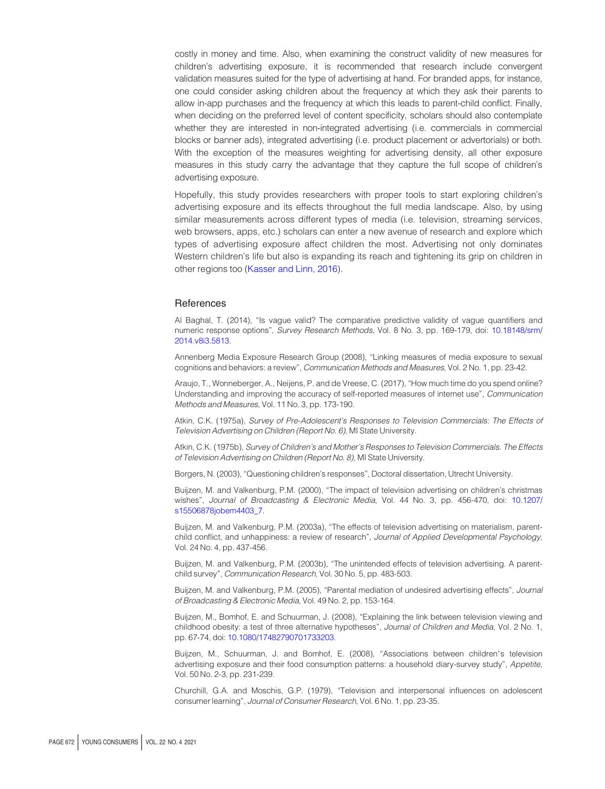costly in money and time. Also, when examining the construct validity of new measures for children's advertising exposure, it is recommended that research include convergent validation measures suited for the type of advertising at hand. For branded apps, for instance, one could consider asking children about the frequency at which they ask their parents to allow in-app purchases and the frequency at which this leads to parent-child conflict. Finally, when deciding on the preferred level of content specificity, scholars should also contemplate whether they are interested in non-integrated advertising (i.e. commercials in commercial blocks or banner ads), integrated advertising (i.e. product placement or advertorials) or both. With the exception of the measures weighting for advertising density, all other exposure measures in this study carry the advantage that they capture the full scope of children's advertising exposure.

Hopefully, this study provides researchers with proper tools to start exploring children's advertising exposure and its effects throughout the full media landscape. Also, by using similar measurements across different types of media (i.e. television, streaming services, web browsers, apps, etc.) scholars can enter a new avenue of research and explore which types of advertising exposure affect children the most. Advertising not only dominates Western children's life but also is expanding its reach and tightening its grip on children in other regions too ([Kasser and Linn, 2016](#page-14-1)).

## **References**

<span id="page-13-5"></span>Al Baghal, T. (2014), "Is vague valid? The comparative predictive validity of vague quantifiers and numeric response options", Survey Research Methods, Vol. 8 No. 3, pp. 169-179, doi: [10.18148/srm/](http://dx.doi.org/10.18148/srm/2014.v8i3.5813) [2014.v8i3.5813.](http://dx.doi.org/10.18148/srm/2014.v8i3.5813)

<span id="page-13-3"></span>Annenberg Media Exposure Research Group (2008), "Linking measures of media exposure to sexual cognitions and behaviors: a review", Communication Methods and Measures, Vol. 2 No. 1, pp. 23-42.

<span id="page-13-4"></span>Araujo, T., Wonneberger, A., Neijens, P. and de Vreese, C. (2017), "How much time do you spend online? Understanding and improving the accuracy of self-reported measures of internet use", Communication Methods and Measures, Vol. 11 No. 3, pp. 173-190.

<span id="page-13-6"></span>Atkin, C.K. (1975a), Survey of Pre-Adolescent's Responses to Television Commercials: The Effects of Television Advertising on Children (Report No. 6), MI State University.

<span id="page-13-7"></span>Atkin, C.K. (1975b), Survey of Children's and Mother's Responses to Television Commercials. The Effects of Television Advertising on Children (Report No. 8), MI State University.

<span id="page-13-2"></span>Borgers, N. (2003), "Questioning children's responses", Doctoral dissertation, Utrecht University.

<span id="page-13-9"></span>Buijzen, M. and Valkenburg, P.M. (2000), "The impact of television advertising on children's christmas wishes", Journal of Broadcasting & Electronic Media, Vol. 44 No. 3, pp. 456-470, doi: [10.1207/](http://dx.doi.org/10.1207/s15506878jobem4403_7) [s15506878jobem4403\\_7](http://dx.doi.org/10.1207/s15506878jobem4403_7).

<span id="page-13-11"></span>Buijzen, M. and Valkenburg, P.M. (2003a), "The effects of television advertising on materialism, parentchild conflict, and unhappiness: a review of research", Journal of Applied Developmental Psychology, Vol. 24 No. 4, pp. 437-456.

<span id="page-13-0"></span>Buijzen, M. and Valkenburg, P.M. (2003b), "The unintended effects of television advertising. A parentchild survey", Communication Research, Vol. 30 No. 5, pp. 483-503.

<span id="page-13-1"></span>Buijzen, M. and Valkenburg, P.M. (2005), "Parental mediation of undesired advertising effects", Journal of Broadcasting & Electronic Media, Vol. 49 No. 2, pp. 153-164.

<span id="page-13-10"></span>Buijzen, M., Bomhof, E. and Schuurman, J. (2008), "Explaining the link between television viewing and childhood obesity: a test of three alternative hypotheses", Journal of Children and Media, Vol. 2 No. 1, pp. 67-74, doi: [10.1080/17482790701733203](http://dx.doi.org/10.1080/17482790701733203).

Buijzen, M., Schuurman, J. and Bomhof, E. (2008), "Associations between children's television advertising exposure and their food consumption patterns: a household diary-survey study", Appetite, Vol. 50 No. 2-3, pp. 231-239.

<span id="page-13-8"></span>Churchill, G.A. and Moschis, G.P. (1979), "Television and interpersonal influences on adolescent consumer learning", Journal of Consumer Research, Vol. 6 No. 1, pp. 23-35.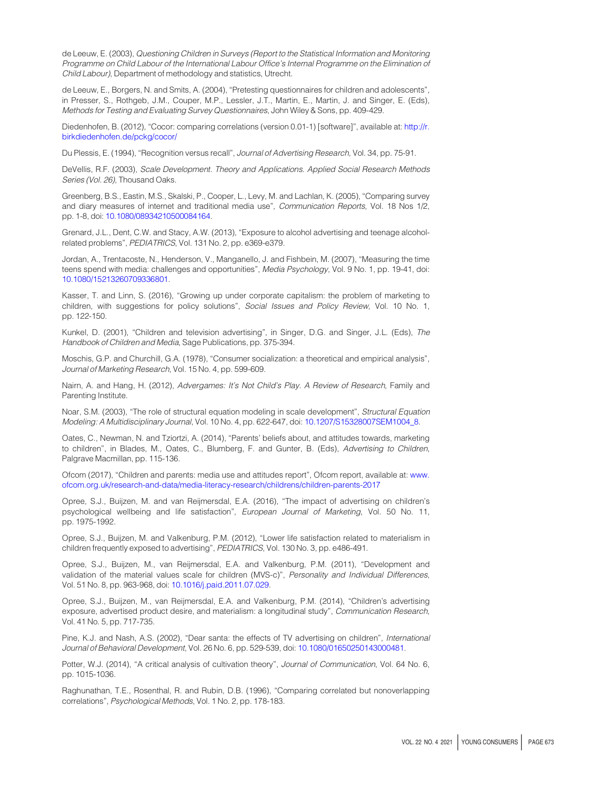<span id="page-14-14"></span>de Leeuw, E. (2003), Questioning Children in Surveys (Report to the Statistical Information and Monitoring Programme on Child Labour of the International Labour Office's Internal Programme on the Elimination of Child Labour), Department of methodology and statistics, Utrecht.

<span id="page-14-9"></span>de Leeuw, E., Borgers, N. and Smits, A. (2004), "Pretesting questionnaires for children and adolescents", in Presser, S., Rothgeb, J.M., Couper, M.P., Lessler, J.T., Martin, E., Martin, J. and Singer, E. (Eds), Methods for Testing and Evaluating Survey Questionnaires, John Wiley & Sons, pp. 409-429.

<span id="page-14-18"></span>Diedenhofen, B. (2012), "Cocor: comparing correlations (version 0.01-1) [software]", available at: [http://r.](http://r.birkdiedenhofen.de/pckg/cocor/) [birkdiedenhofen.de/pckg/cocor/](http://r.birkdiedenhofen.de/pckg/cocor/)

<span id="page-14-6"></span>Du Plessis, E. (1994), "Recognition versus recall", Journal of Advertising Research, Vol. 34, pp. 75-91.

<span id="page-14-15"></span>DeVellis, R.F. (2003), Scale Development. Theory and Applications. Applied Social Research Methods Series (Vol. 26), Thousand Oaks.

<span id="page-14-8"></span>Greenberg, B.S., Eastin, M.S., Skalski, P., Cooper, L., Levy, M. and Lachlan, K. (2005), "Comparing survey and diary measures of internet and traditional media use", Communication Reports, Vol. 18 Nos 1/2, pp. 1-8, doi: [10.1080/08934210500084164.](http://dx.doi.org/10.1080/08934210500084164)

<span id="page-14-13"></span>Grenard, J.L., Dent, C.W. and Stacy, A.W. (2013), "Exposure to alcohol advertising and teenage alcoholrelated problems", PEDIATRICS, Vol. 131 No. 2, pp. e369-e379.

<span id="page-14-7"></span>Jordan, A., Trentacoste, N., Henderson, V., Manganello, J. and Fishbein, M. (2007), "Measuring the time teens spend with media: challenges and opportunities", Media Psychology, Vol. 9 No. 1, pp. 19-41, doi: [10.1080/15213260709336801](http://dx.doi.org/10.1080/15213260709336801).

<span id="page-14-1"></span>Kasser, T. and Linn, S. (2016), "Growing up under corporate capitalism: the problem of marketing to children, with suggestions for policy solutions", Social Issues and Policy Review, Vol. 10 No. 1, pp. 122-150.

<span id="page-14-12"></span>Kunkel, D. (2001), "Children and television advertising", in Singer, D.G. and Singer, J.L. (Eds), The Handbook of Children and Media, Sage Publications, pp. 375-394.

<span id="page-14-10"></span>Moschis, G.P. and Churchill, G.A. (1978), "Consumer socialization: a theoretical and empirical analysis", Journal of Marketing Research, Vol. 15 No. 4, pp. 599-609.

<span id="page-14-21"></span>Nairn, A. and Hang, H. (2012), Advergames: It's Not Child's Play. A Review of Research, Family and Parenting Institute.

<span id="page-14-16"></span>Noar, S.M. (2003), "The role of structural equation modeling in scale development", Structural Equation Modeling: A Multidisciplinary Journal, Vol. 10 No. 4, pp. 622-647, doi: [10.1207/S15328007SEM1004\\_8.](http://dx.doi.org/10.1207/S15328007SEM1004_8)

<span id="page-14-0"></span>Oates, C., Newman, N. and Tziortzi, A. (2014), "Parents' beliefs about, and attitudes towards, marketing to children", in Blades, M., Oates, C., Blumberg, F. and Gunter, B. (Eds), Advertising to Children, Palgrave Macmillan, pp. 115-136.

<span id="page-14-20"></span>Ofcom (2017), "Children and parents: media use and attitudes report", Ofcom report, available at: [www.](http://www.ofcom.org.uk/research-and-data/media-literacy-research/childrens/children-parents-2017) [ofcom.org.uk/research-and-data/media-literacy-research/childrens/children-parents-2017](http://www.ofcom.org.uk/research-and-data/media-literacy-research/childrens/children-parents-2017)

<span id="page-14-5"></span>Opree, S.J., Buijzen, M. and van Reijmersdal, E.A. (2016), "The impact of advertising on children's psychological wellbeing and life satisfaction", European Journal of Marketing, Vol. 50 No. 11, pp. 1975-1992.

<span id="page-14-3"></span>Opree, S.J., Buijzen, M. and Valkenburg, P.M. (2012), "Lower life satisfaction related to materialism in children frequently exposed to advertising", PEDIATRICS, Vol. 130 No. 3, pp. e486-491.

<span id="page-14-19"></span>Opree, S.J., Buijzen, M., van Reijmersdal, E.A. and Valkenburg, P.M. (2011), "Development and validation of the material values scale for children (MVS-c)", Personality and Individual Differences, Vol. 51 No. 8, pp. 963-968, doi: [10.1016/j.paid.2011.07.029.](http://dx.doi.org/10.1016/j.paid.2011.07.029)

<span id="page-14-4"></span>Opree, S.J., Buijzen, M., van Reijmersdal, E.A. and Valkenburg, P.M. (2014), "Children's advertising exposure, advertised product desire, and materialism: a longitudinal study", Communication Research, Vol. 41 No. 5, pp. 717-735.

<span id="page-14-11"></span>Pine, K.J. and Nash, A.S. (2002), "Dear santa: the effects of TV advertising on children", International Journal of Behavioral Development, Vol. 26 No. 6, pp. 529-539, doi: [10.1080/01650250143000481.](http://dx.doi.org/10.1080/01650250143000481)

<span id="page-14-2"></span>Potter, W.J. (2014), "A critical analysis of cultivation theory", Journal of Communication, Vol. 64 No. 6, pp. 1015-1036.

<span id="page-14-17"></span>Raghunathan, T.E., Rosenthal, R. and Rubin, D.B. (1996), "Comparing correlated but nonoverlapping correlations", Psychological Methods, Vol. 1 No. 2, pp. 178-183.